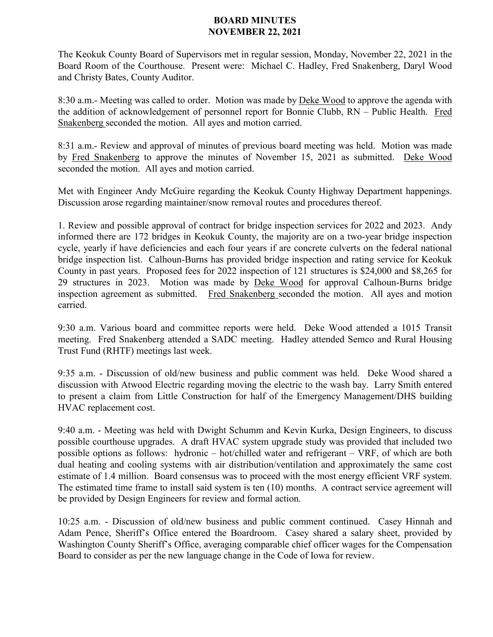## **BOARD MINUTES NOVEMBER 22, 2021**

The Keokuk County Board of Supervisors met in regular session, Monday, November 22, 2021 in the Board Room of the Courthouse. Present were: Michael C. Hadley, Fred Snakenberg, Daryl Wood and Christy Bates, County Auditor.

8:30 a.m.- Meeting was called to order. Motion was made by Deke Wood to approve the agenda with the addition of acknowledgement of personnel report for Bonnie Clubb, RN – Public Health. Fred Snakenberg seconded the motion. All ayes and motion carried.

8:31 a.m.- Review and approval of minutes of previous board meeting was held. Motion was made by Fred Snakenberg to approve the minutes of November 15, 2021 as submitted. Deke Wood seconded the motion. All ayes and motion carried.

Met with Engineer Andy McGuire regarding the Keokuk County Highway Department happenings. Discussion arose regarding maintainer/snow removal routes and procedures thereof.

1. Review and possible approval of contract for bridge inspection services for 2022 and 2023. Andy informed there are 172 bridges in Keokuk County, the majority are on a two-year bridge inspection cycle, yearly if have deficiencies and each four years if are concrete culverts on the federal national bridge inspection list. Calhoun-Burns has provided bridge inspection and rating service for Keokuk County in past years. Proposed fees for 2022 inspection of 121 structures is \$24,000 and \$8,265 for 29 structures in 2023. Motion was made by Deke Wood for approval Calhoun-Burns bridge inspection agreement as submitted. Fred Snakenberg seconded the motion. All ayes and motion carried.

9:30 a.m. Various board and committee reports were held. Deke Wood attended a 1015 Transit meeting. Fred Snakenberg attended a SADC meeting. Hadley attended Semco and Rural Housing Trust Fund (RHTF) meetings last week.

9:35 a.m. - Discussion of old/new business and public comment was held. Deke Wood shared a discussion with Atwood Electric regarding moving the electric to the wash bay. Larry Smith entered to present a claim from Little Construction for half of the Emergency Management/DHS building HVAC replacement cost.

9:40 a.m. - Meeting was held with Dwight Schumm and Kevin Kurka, Design Engineers, to discuss possible courthouse upgrades. A draft HVAC system upgrade study was provided that included two possible options as follows: hydronic – hot/chilled water and refrigerant – VRF, of which are both dual heating and cooling systems with air distribution/ventilation and approximately the same cost estimate of 1.4 million. Board consensus was to proceed with the most energy efficient VRF system. The estimated time frame to install said system is ten (10) months. A contract service agreement will be provided by Design Engineers for review and formal action.

10:25 a.m. - Discussion of old/new business and public comment continued. Casey Hinnah and Adam Pence, Sheriff's Office entered the Boardroom. Casey shared a salary sheet, provided by Washington County Sheriff's Office, averaging comparable chief officer wages for the Compensation Board to consider as per the new language change in the Code of Iowa for review.